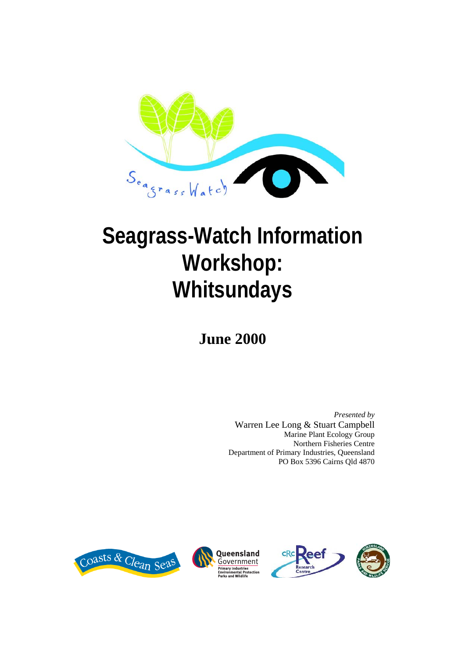

# **Seagrass-Watch Information Workshop: Whitsundays**

**June 2000** 

*Presented by*  Warren Lee Long & Stuart Campbell Marine Plant Ecology Group Northern Fisheries Centre Department of Primary Industries, Queensland PO Box 5396 Cairns Qld 4870





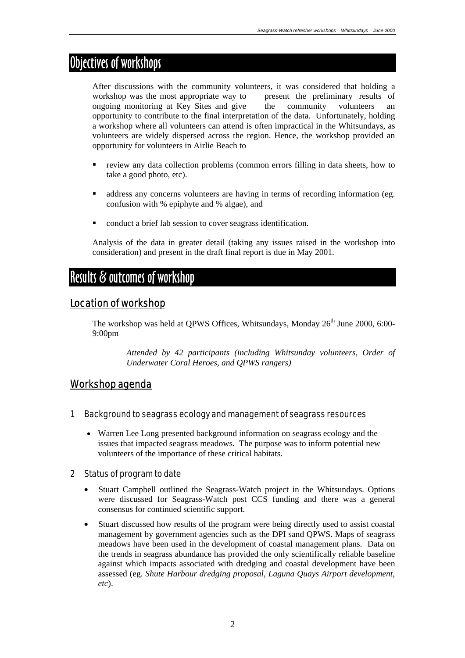## Objectives of workshops

After discussions with the community volunteers, it was considered that holding a workshop was the most appropriate way to present the preliminary results of ongoing monitoring at Key Sites and give the community volunteers an opportunity to contribute to the final interpretation of the data. Unfortunately, holding a workshop where all volunteers can attend is often impractical in the Whitsundays, as volunteers are widely dispersed across the region. Hence, the workshop provided an opportunity for volunteers in Airlie Beach to

- review any data collection problems (common errors filling in data sheets, how to take a good photo, etc).
- ddress any concerns volunteers are having in terms of recording information (eg. confusion with % epiphyte and % algae), and
- conduct a brief lab session to cover seagrass identification.

Analysis of the data in greater detail (taking any issues raised in the workshop into consideration) and present in the draft final report is due in May 2001.

### Results & outcomes of workshop

#### Location of workshop

The workshop was held at OPWS Offices, Whitsundays, Monday  $26<sup>th</sup>$  June 2000, 6:00-9:00pm

> *Attended by 42 participants (including Whitsunday volunteers, Order of Underwater Coral Heroes, and QPWS rangers)*

#### Workshop agenda

#### 1 Background to seagrass ecology and management of seagrass resources

• Warren Lee Long presented background information on seagrass ecology and the issues that impacted seagrass meadows. The purpose was to inform potential new volunteers of the importance of these critical habitats.

#### 2 Status of program to date

- Stuart Campbell outlined the Seagrass-Watch project in the Whitsundays. Options were discussed for Seagrass-Watch post CCS funding and there was a general consensus for continued scientific support.
- Stuart discussed how results of the program were being directly used to assist coastal management by government agencies such as the DPI sand QPWS. Maps of seagrass meadows have been used in the development of coastal management plans. Data on the trends in seagrass abundance has provided the only scientifically reliable baseline against which impacts associated with dredging and coastal development have been assessed (eg. *Shute Harbour dredging proposal, Laguna Quays Airport development, etc*).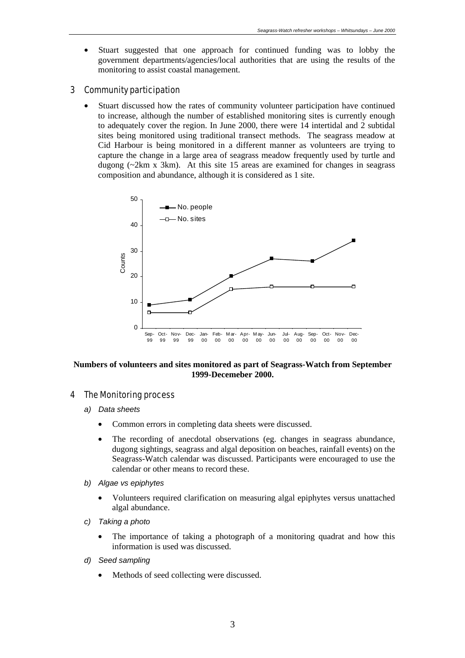• Stuart suggested that one approach for continued funding was to lobby the government departments/agencies/local authorities that are using the results of the monitoring to assist coastal management.

#### 3 Community participation

• Stuart discussed how the rates of community volunteer participation have continued to increase, although the number of established monitoring sites is currently enough to adequately cover the region. In June 2000, there were 14 intertidal and 2 subtidal sites being monitored using traditional transect methods. The seagrass meadow at Cid Harbour is being monitored in a different manner as volunteers are trying to capture the change in a large area of seagrass meadow frequently used by turtle and dugong (~2km x 3km). At this site 15 areas are examined for changes in seagrass composition and abundance, although it is considered as 1 site.



#### **Numbers of volunteers and sites monitored as part of Seagrass-Watch from September 1999-Decemeber 2000.**

#### 4 The Monitoring process

- *a) Data sheets* 
	- Common errors in completing data sheets were discussed.
	- The recording of anecdotal observations (eg. changes in seagrass abundance, dugong sightings, seagrass and algal deposition on beaches, rainfall events) on the Seagrass-Watch calendar was discussed. Participants were encouraged to use the calendar or other means to record these.
- *b) Algae vs epiphytes* 
	- Volunteers required clarification on measuring algal epiphytes versus unattached algal abundance.
- *c) Taking a photo* 
	- The importance of taking a photograph of a monitoring quadrat and how this information is used was discussed.
- *d) Seed sampling* 
	- Methods of seed collecting were discussed.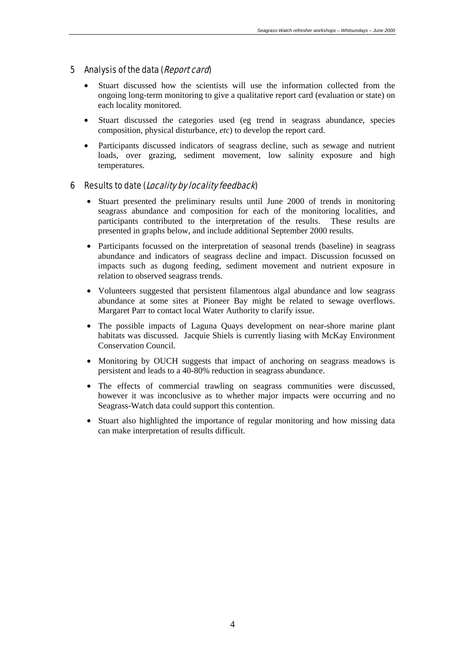#### 5 Analysis of the data (Report card)

- Stuart discussed how the scientists will use the information collected from the ongoing long-term monitoring to give a qualitative report card (evaluation or state) on each locality monitored.
- Stuart discussed the categories used (eg trend in seagrass abundance, species composition, physical disturbance, *etc*) to develop the report card.
- Participants discussed indicators of seagrass decline, such as sewage and nutrient loads, over grazing, sediment movement, low salinity exposure and high temperatures.

#### 6 Results to date (Locality by locality feedback)

- Stuart presented the preliminary results until June 2000 of trends in monitoring seagrass abundance and composition for each of the monitoring localities, and participants contributed to the interpretation of the results. These results are presented in graphs below, and include additional September 2000 results.
- Participants focussed on the interpretation of seasonal trends (baseline) in seagrass abundance and indicators of seagrass decline and impact. Discussion focussed on impacts such as dugong feeding, sediment movement and nutrient exposure in relation to observed seagrass trends.
- Volunteers suggested that persistent filamentous algal abundance and low seagrass abundance at some sites at Pioneer Bay might be related to sewage overflows. Margaret Parr to contact local Water Authority to clarify issue.
- The possible impacts of Laguna Quays development on near-shore marine plant habitats was discussed. Jacquie Shiels is currently liasing with McKay Environment Conservation Council.
- Monitoring by OUCH suggests that impact of anchoring on seagrass meadows is persistent and leads to a 40-80% reduction in seagrass abundance.
- The effects of commercial trawling on seagrass communities were discussed, however it was inconclusive as to whether major impacts were occurring and no Seagrass-Watch data could support this contention.
- Stuart also highlighted the importance of regular monitoring and how missing data can make interpretation of results difficult.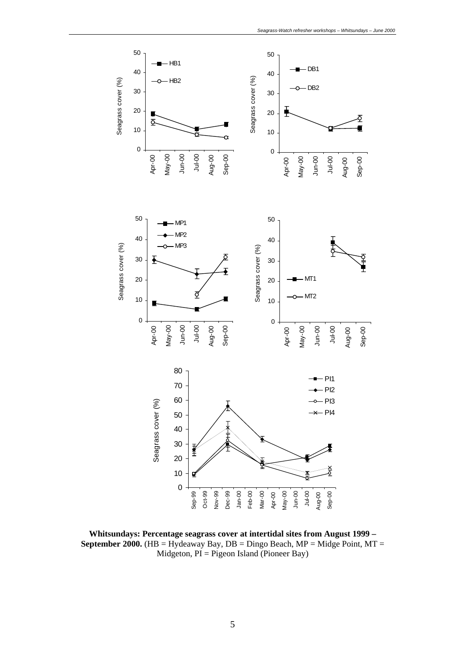

**Whitsundays: Percentage seagrass cover at intertidal sites from August 1999 – September 2000.** (HB = Hydeaway Bay,  $DB = Dingo$  Beach,  $MP = Midge$  Point,  $MT =$ Midgeton, PI = Pigeon Island (Pioneer Bay)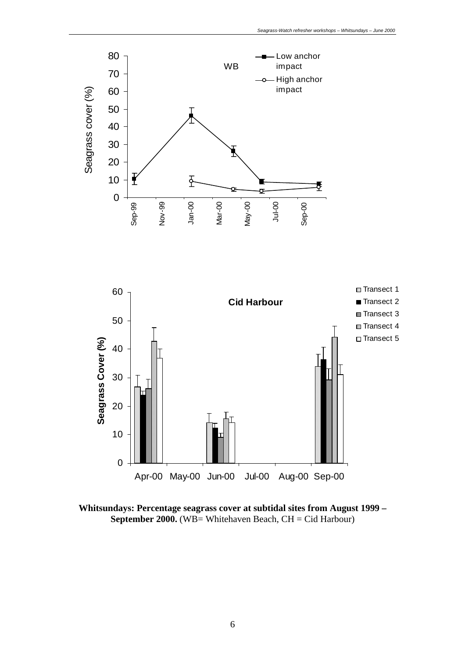



**Whitsundays: Percentage seagrass cover at subtidal sites from August 1999 – September 2000.** (WB= Whitehaven Beach, CH = Cid Harbour)